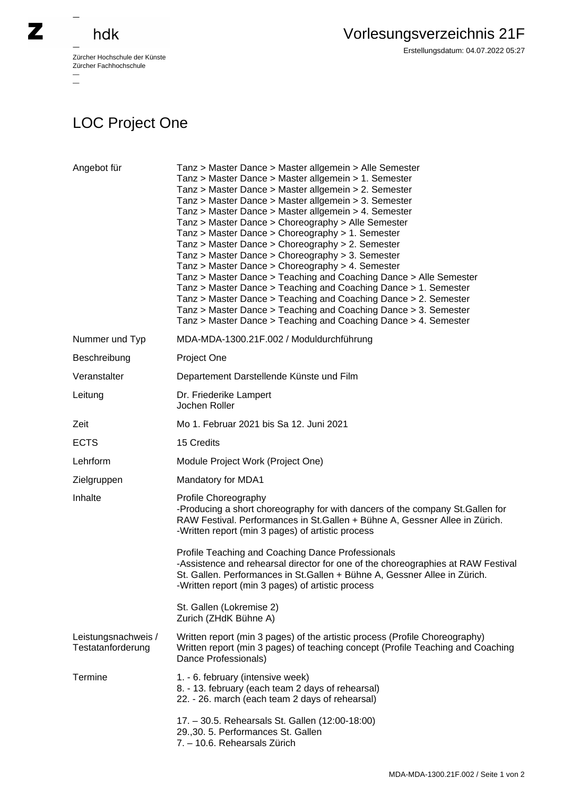

## hdk

—

 $\equiv$ 

Zürcher Hochschule der Künste Zürcher Fachhochschule —

## LOC Project One

| Angebot für                              | Tanz > Master Dance > Master allgemein > Alle Semester<br>Tanz > Master Dance > Master allgemein > 1. Semester<br>Tanz > Master Dance > Master allgemein > 2. Semester<br>Tanz > Master Dance > Master allgemein > 3. Semester<br>Tanz > Master Dance > Master allgemein > 4. Semester<br>Tanz > Master Dance > Choreography > Alle Semester<br>Tanz > Master Dance > Choreography > 1. Semester<br>Tanz > Master Dance > Choreography > 2. Semester<br>Tanz > Master Dance > Choreography > 3. Semester<br>Tanz > Master Dance > Choreography > 4. Semester<br>Tanz > Master Dance > Teaching and Coaching Dance > Alle Semester<br>Tanz > Master Dance > Teaching and Coaching Dance > 1. Semester<br>Tanz > Master Dance > Teaching and Coaching Dance > 2. Semester<br>Tanz > Master Dance > Teaching and Coaching Dance > 3. Semester<br>Tanz > Master Dance > Teaching and Coaching Dance > 4. Semester |
|------------------------------------------|---------------------------------------------------------------------------------------------------------------------------------------------------------------------------------------------------------------------------------------------------------------------------------------------------------------------------------------------------------------------------------------------------------------------------------------------------------------------------------------------------------------------------------------------------------------------------------------------------------------------------------------------------------------------------------------------------------------------------------------------------------------------------------------------------------------------------------------------------------------------------------------------------------------|
| Nummer und Typ                           | MDA-MDA-1300.21F.002 / Moduldurchführung                                                                                                                                                                                                                                                                                                                                                                                                                                                                                                                                                                                                                                                                                                                                                                                                                                                                      |
| Beschreibung                             | Project One                                                                                                                                                                                                                                                                                                                                                                                                                                                                                                                                                                                                                                                                                                                                                                                                                                                                                                   |
| Veranstalter                             | Departement Darstellende Künste und Film                                                                                                                                                                                                                                                                                                                                                                                                                                                                                                                                                                                                                                                                                                                                                                                                                                                                      |
| Leitung                                  | Dr. Friederike Lampert<br>Jochen Roller                                                                                                                                                                                                                                                                                                                                                                                                                                                                                                                                                                                                                                                                                                                                                                                                                                                                       |
| Zeit                                     | Mo 1. Februar 2021 bis Sa 12. Juni 2021                                                                                                                                                                                                                                                                                                                                                                                                                                                                                                                                                                                                                                                                                                                                                                                                                                                                       |
| <b>ECTS</b>                              | 15 Credits                                                                                                                                                                                                                                                                                                                                                                                                                                                                                                                                                                                                                                                                                                                                                                                                                                                                                                    |
| Lehrform                                 | Module Project Work (Project One)                                                                                                                                                                                                                                                                                                                                                                                                                                                                                                                                                                                                                                                                                                                                                                                                                                                                             |
| Zielgruppen                              | Mandatory for MDA1                                                                                                                                                                                                                                                                                                                                                                                                                                                                                                                                                                                                                                                                                                                                                                                                                                                                                            |
| Inhalte                                  | Profile Choreography<br>- Producing a short choreography for with dancers of the company St.Gallen for<br>RAW Festival. Performances in St.Gallen + Bühne A, Gessner Allee in Zürich.<br>- Written report (min 3 pages) of artistic process                                                                                                                                                                                                                                                                                                                                                                                                                                                                                                                                                                                                                                                                   |
|                                          | Profile Teaching and Coaching Dance Professionals<br>- Assistence and rehearsal director for one of the choreographies at RAW Festival<br>St. Gallen. Performances in St. Gallen + Bühne A, Gessner Allee in Zürich.<br>- Written report (min 3 pages) of artistic process                                                                                                                                                                                                                                                                                                                                                                                                                                                                                                                                                                                                                                    |
|                                          | St. Gallen (Lokremise 2)<br>Zurich (ZHdK Bühne A)                                                                                                                                                                                                                                                                                                                                                                                                                                                                                                                                                                                                                                                                                                                                                                                                                                                             |
| Leistungsnachweis /<br>Testatanforderung | Written report (min 3 pages) of the artistic process (Profile Choreography)<br>Written report (min 3 pages) of teaching concept (Profile Teaching and Coaching<br>Dance Professionals)                                                                                                                                                                                                                                                                                                                                                                                                                                                                                                                                                                                                                                                                                                                        |
| Termine                                  | 1. - 6. february (intensive week)<br>8. - 13. february (each team 2 days of rehearsal)<br>22. - 26. march (each team 2 days of rehearsal)                                                                                                                                                                                                                                                                                                                                                                                                                                                                                                                                                                                                                                                                                                                                                                     |
|                                          | 17. - 30.5. Rehearsals St. Gallen (12:00-18:00)<br>29.,30. 5. Performances St. Gallen<br>7. - 10.6. Rehearsals Zürich                                                                                                                                                                                                                                                                                                                                                                                                                                                                                                                                                                                                                                                                                                                                                                                         |